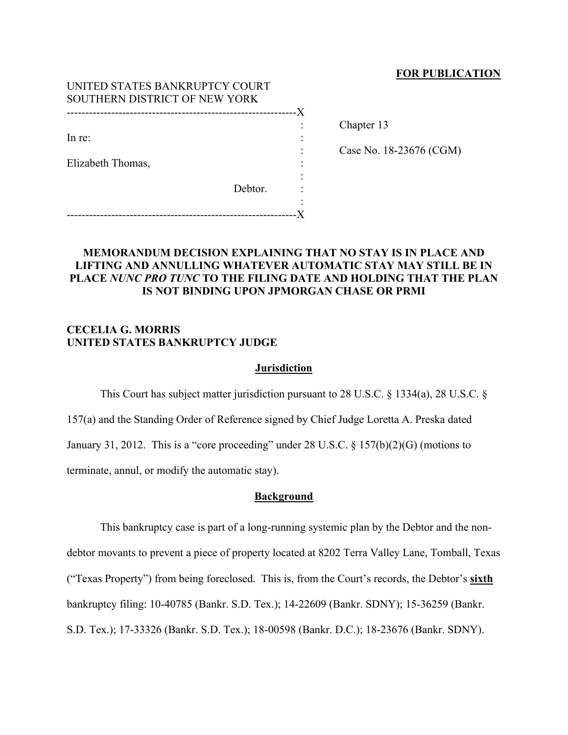# **FOR PUBLICATION**

| UNITED STATES BANKRUPTCY COURT |         |    |
|--------------------------------|---------|----|
| SOUTHERN DISTRICT OF NEW YORK  |         |    |
|                                |         | .X |
|                                |         |    |
| In re:                         |         |    |
|                                |         |    |
| Elizabeth Thomas,              |         |    |
|                                |         |    |
|                                | Debtor. |    |
|                                |         |    |
|                                |         |    |

Chapter 13

Case No. 18-23676 (CGM)

# **MEMORANDUM DECISION EXPLAINING THAT NO STAY IS IN PLACE AND LIFTING AND ANNULLING WHATEVER AUTOMATIC STAY MAY STILL BE IN PLACE** *NUNC PRO TUNC* **TO THE FILING DATE AND HOLDING THAT THE PLAN IS NOT BINDING UPON JPMORGAN CHASE OR PRMI**

# **CECELIA G. MORRIS UNITED STATES BANKRUPTCY JUDGE**

## **Jurisdiction**

This Court has subject matter jurisdiction pursuant to 28 U.S.C. § 1334(a), 28 U.S.C. § 157(a) and the Standing Order of Reference signed by Chief Judge Loretta A. Preska dated January 31, 2012. This is a "core proceeding" under 28 U.S.C. § 157(b)(2)(G) (motions to terminate, annul, or modify the automatic stay).

# **Background**

This bankruptcy case is part of a long-running systemic plan by the Debtor and the nondebtor movants to prevent a piece of property located at 8202 Terra Valley Lane, Tomball, Texas ("Texas Property") from being foreclosed. This is, from the Court's records, the Debtor's **sixth** bankruptcy filing: 10-40785 (Bankr. S.D. Tex.); 14-22609 (Bankr. SDNY); 15-36259 (Bankr. S.D. Tex.); 17-33326 (Bankr. S.D. Tex.); 18-00598 (Bankr. D.C.); 18-23676 (Bankr. SDNY).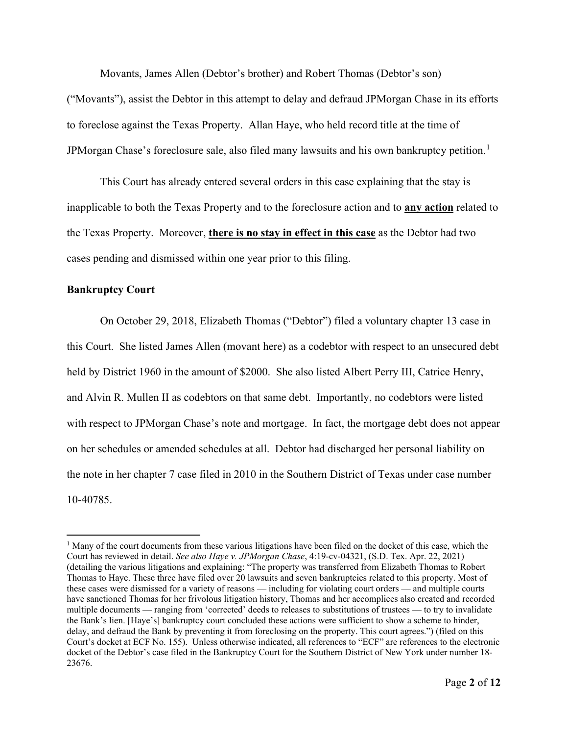Movants, James Allen (Debtor's brother) and Robert Thomas (Debtor's son)

("Movants"), assist the Debtor in this attempt to delay and defraud JPMorgan Chase in its efforts to foreclose against the Texas Property. Allan Haye, who held record title at the time of JPMorgan Chase's foreclosure sale, also filed many lawsuits and his own bankruptcy petition.<sup>[1](#page-1-0)</sup>

This Court has already entered several orders in this case explaining that the stay is inapplicable to both the Texas Property and to the foreclosure action and to **any action** related to the Texas Property. Moreover, **there is no stay in effect in this case** as the Debtor had two cases pending and dismissed within one year prior to this filing.

# **Bankruptcy Court**

On October 29, 2018, Elizabeth Thomas ("Debtor") filed a voluntary chapter 13 case in this Court. She listed James Allen (movant here) as a codebtor with respect to an unsecured debt held by District 1960 in the amount of \$2000. She also listed Albert Perry III, Catrice Henry, and Alvin R. Mullen II as codebtors on that same debt. Importantly, no codebtors were listed with respect to JPMorgan Chase's note and mortgage. In fact, the mortgage debt does not appear on her schedules or amended schedules at all. Debtor had discharged her personal liability on the note in her chapter 7 case filed in 2010 in the Southern District of Texas under case number 10-40785.

<span id="page-1-0"></span><sup>&</sup>lt;sup>1</sup> Many of the court documents from these various litigations have been filed on the docket of this case, which the Court has reviewed in detail. *See also Haye v. JPMorgan Chase*, 4:19-cv-04321, (S.D. Tex. Apr. 22, 2021) (detailing the various litigations and explaining: "The property was transferred from Elizabeth Thomas to Robert Thomas to Haye. These three have filed over 20 lawsuits and seven bankruptcies related to this property. Most of these cases were dismissed for a variety of reasons — including for violating court orders — and multiple courts have sanctioned Thomas for her frivolous litigation history, Thomas and her accomplices also created and recorded multiple documents — ranging from 'corrected' deeds to releases to substitutions of trustees — to try to invalidate the Bank's lien. [Haye's] bankruptcy court concluded these actions were sufficient to show a scheme to hinder, delay, and defraud the Bank by preventing it from foreclosing on the property. This court agrees.") (filed on this Court's docket at ECF No. 155). Unless otherwise indicated, all references to "ECF" are references to the electronic docket of the Debtor's case filed in the Bankruptcy Court for the Southern District of New York under number 18- 23676.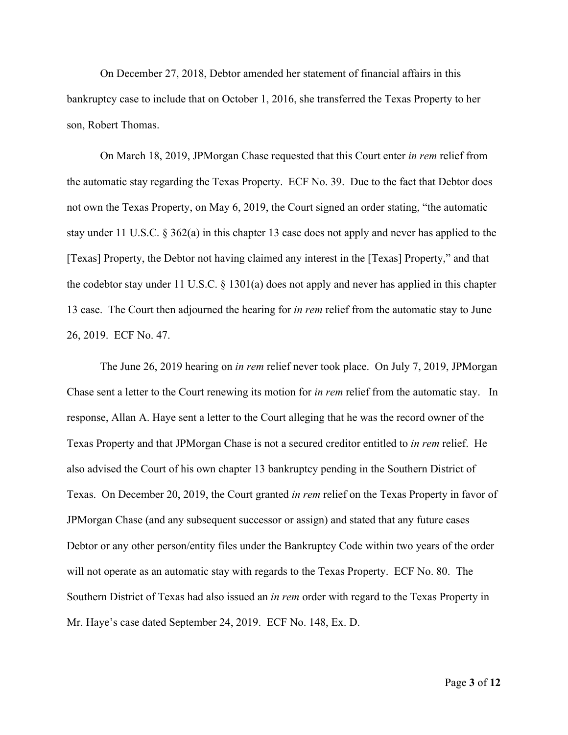On December 27, 2018, Debtor amended her statement of financial affairs in this bankruptcy case to include that on October 1, 2016, she transferred the Texas Property to her son, Robert Thomas.

On March 18, 2019, JPMorgan Chase requested that this Court enter *in rem* relief from the automatic stay regarding the Texas Property. ECF No. 39. Due to the fact that Debtor does not own the Texas Property, on May 6, 2019, the Court signed an order stating, "the automatic stay under 11 U.S.C. § 362(a) in this chapter 13 case does not apply and never has applied to the [Texas] Property, the Debtor not having claimed any interest in the [Texas] Property," and that the codebtor stay under 11 U.S.C. § 1301(a) does not apply and never has applied in this chapter 13 case. The Court then adjourned the hearing for *in rem* relief from the automatic stay to June 26, 2019. ECF No. 47.

The June 26, 2019 hearing on *in rem* relief never took place. On July 7, 2019, JPMorgan Chase sent a letter to the Court renewing its motion for *in rem* relief from the automatic stay. In response, Allan A. Haye sent a letter to the Court alleging that he was the record owner of the Texas Property and that JPMorgan Chase is not a secured creditor entitled to *in rem* relief. He also advised the Court of his own chapter 13 bankruptcy pending in the Southern District of Texas. On December 20, 2019, the Court granted *in rem* relief on the Texas Property in favor of JPMorgan Chase (and any subsequent successor or assign) and stated that any future cases Debtor or any other person/entity files under the Bankruptcy Code within two years of the order will not operate as an automatic stay with regards to the Texas Property. ECF No. 80. The Southern District of Texas had also issued an *in rem* order with regard to the Texas Property in Mr. Haye's case dated September 24, 2019. ECF No. 148, Ex. D.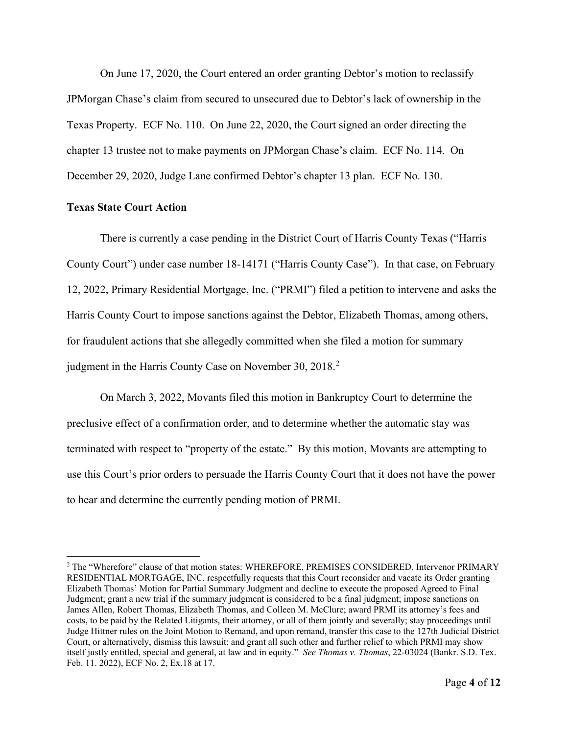On June 17, 2020, the Court entered an order granting Debtor's motion to reclassify JPMorgan Chase's claim from secured to unsecured due to Debtor's lack of ownership in the Texas Property. ECF No. 110. On June 22, 2020, the Court signed an order directing the chapter 13 trustee not to make payments on JPMorgan Chase's claim. ECF No. 114. On December 29, 2020, Judge Lane confirmed Debtor's chapter 13 plan. ECF No. 130.

## **Texas State Court Action**

There is currently a case pending in the District Court of Harris County Texas ("Harris County Court") under case number 18-14171 ("Harris County Case"). In that case, on February 12, 2022, Primary Residential Mortgage, Inc. ("PRMI") filed a petition to intervene and asks the Harris County Court to impose sanctions against the Debtor, Elizabeth Thomas, among others, for fraudulent actions that she allegedly committed when she filed a motion for summary judgment in the Harris County Case on November 30, [2](#page-3-0)018.<sup>2</sup>

On March 3, 2022, Movants filed this motion in Bankruptcy Court to determine the preclusive effect of a confirmation order, and to determine whether the automatic stay was terminated with respect to "property of the estate." By this motion, Movants are attempting to use this Court's prior orders to persuade the Harris County Court that it does not have the power to hear and determine the currently pending motion of PRMI.

<span id="page-3-0"></span><sup>&</sup>lt;sup>2</sup> The "Wherefore" clause of that motion states: WHEREFORE, PREMISES CONSIDERED, Intervenor PRIMARY RESIDENTIAL MORTGAGE, INC. respectfully requests that this Court reconsider and vacate its Order granting Elizabeth Thomas' Motion for Partial Summary Judgment and decline to execute the proposed Agreed to Final Judgment; grant a new trial if the summary judgment is considered to be a final judgment; impose sanctions on James Allen, Robert Thomas, Elizabeth Thomas, and Colleen M. McClure; award PRMI its attorney's fees and costs, to be paid by the Related Litigants, their attorney, or all of them jointly and severally; stay proceedings until Judge Hittner rules on the Joint Motion to Remand, and upon remand, transfer this case to the 127th Judicial District Court, or alternatively, dismiss this lawsuit; and grant all such other and further relief to which PRMI may show itself justly entitled, special and general, at law and in equity." *See Thomas v. Thomas*, 22-03024 (Bankr. S.D. Tex. Feb. 11. 2022), ECF No. 2, Ex.18 at 17.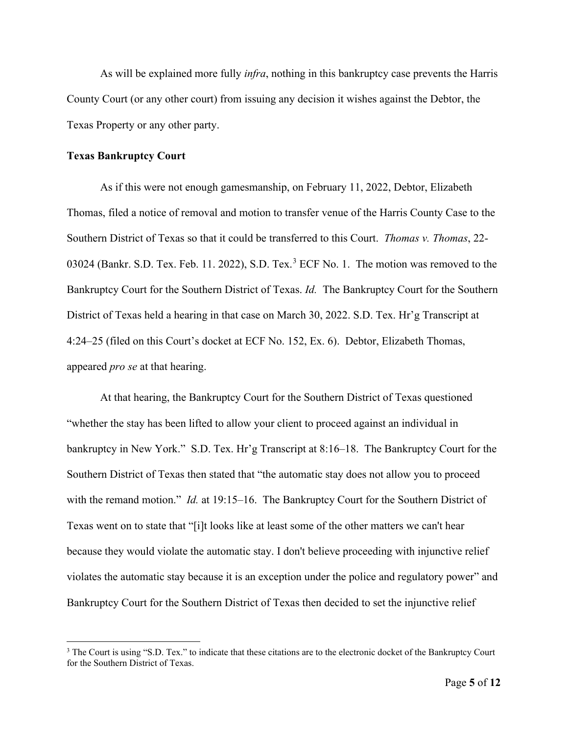As will be explained more fully *infra*, nothing in this bankruptcy case prevents the Harris County Court (or any other court) from issuing any decision it wishes against the Debtor, the Texas Property or any other party.

## **Texas Bankruptcy Court**

As if this were not enough gamesmanship, on February 11, 2022, Debtor, Elizabeth Thomas, filed a notice of removal and motion to transfer venue of the Harris County Case to the Southern District of Texas so that it could be transferred to this Court. *Thomas v. Thomas*, 22- 0[3](#page-4-0)024 (Bankr. S.D. Tex. Feb. 11. 2022), S.D. Tex.<sup>3</sup> ECF No. 1. The motion was removed to the Bankruptcy Court for the Southern District of Texas. *Id.* The Bankruptcy Court for the Southern District of Texas held a hearing in that case on March 30, 2022. S.D. Tex. Hr'g Transcript at 4:24–25 (filed on this Court's docket at ECF No. 152, Ex. 6). Debtor, Elizabeth Thomas, appeared *pro se* at that hearing.

At that hearing, the Bankruptcy Court for the Southern District of Texas questioned "whether the stay has been lifted to allow your client to proceed against an individual in bankruptcy in New York." S.D. Tex. Hr'g Transcript at 8:16–18. The Bankruptcy Court for the Southern District of Texas then stated that "the automatic stay does not allow you to proceed with the remand motion." *Id.* at 19:15–16. The Bankruptcy Court for the Southern District of Texas went on to state that "[i]t looks like at least some of the other matters we can't hear because they would violate the automatic stay. I don't believe proceeding with injunctive relief violates the automatic stay because it is an exception under the police and regulatory power" and Bankruptcy Court for the Southern District of Texas then decided to set the injunctive relief

<span id="page-4-0"></span><sup>&</sup>lt;sup>3</sup> The Court is using "S.D. Tex." to indicate that these citations are to the electronic docket of the Bankruptcy Court for the Southern District of Texas.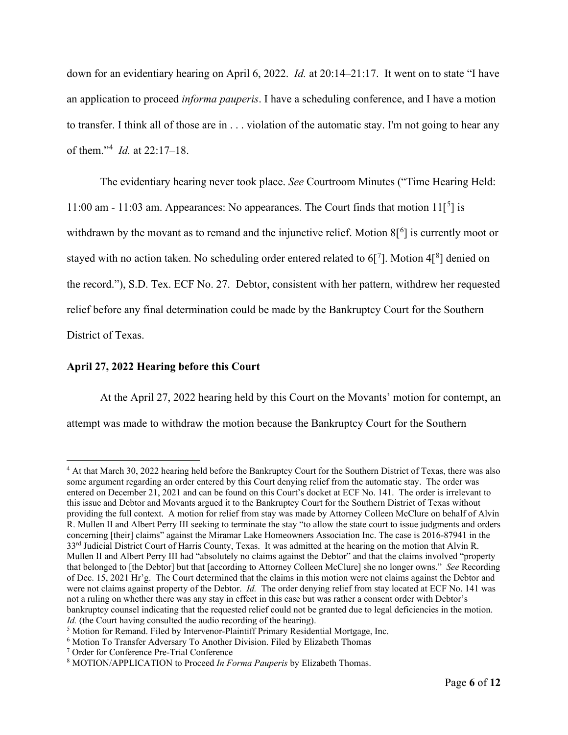down for an evidentiary hearing on April 6, 2022. *Id.* at 20:14–21:17. It went on to state "I have an application to proceed *informa pauperis*. I have a scheduling conference, and I have a motion to transfer. I think all of those are in . . . violation of the automatic stay. I'm not going to hear any of them."[4](#page-5-0) *Id.* at 22:17–18.

The evidentiary hearing never took place. *See* Courtroom Minutes ("Time Hearing Held: 11:00 am - 11:03 am. Appearances: No appearances. The Court finds that motion  $11[^{5}]$  $11[^{5}]$  $11[^{5}]$  is withdrawn by the movant as to remand and the injunctive relief. Motion  $8[^6]$  $8[^6]$  $8[^6]$  is currently moot or stayed with no action taken. No scheduling order entered related to 6[ $^7$  $^7$ ]. Motion 4[ $^8$  $^8$ ] denied on the record."), S.D. Tex. ECF No. 27. Debtor, consistent with her pattern, withdrew her requested relief before any final determination could be made by the Bankruptcy Court for the Southern District of Texas.

# **April 27, 2022 Hearing before this Court**

At the April 27, 2022 hearing held by this Court on the Movants' motion for contempt, an attempt was made to withdraw the motion because the Bankruptcy Court for the Southern

<span id="page-5-0"></span><sup>4</sup> At that March 30, 2022 hearing held before the Bankruptcy Court for the Southern District of Texas, there was also some argument regarding an order entered by this Court denying relief from the automatic stay. The order was entered on December 21, 2021 and can be found on this Court's docket at ECF No. 141. The order is irrelevant to this issue and Debtor and Movants argued it to the Bankruptcy Court for the Southern District of Texas without providing the full context. A motion for relief from stay was made by Attorney Colleen McClure on behalf of Alvin R. Mullen II and Albert Perry III seeking to terminate the stay "to allow the state court to issue judgments and orders concerning [their] claims" against the Miramar Lake Homeowners Association Inc. The case is 2016-87941 in the 33<sup>rd</sup> Judicial District Court of Harris County, Texas. It was admitted at the hearing on the motion that Alvin R. Mullen II and Albert Perry III had "absolutely no claims against the Debtor" and that the claims involved "property that belonged to [the Debtor] but that [according to Attorney Colleen McClure] she no longer owns." *See* Recording of Dec. 15, 2021 Hr'g. The Court determined that the claims in this motion were not claims against the Debtor and were not claims against property of the Debtor. *Id.* The order denying relief from stay located at ECF No. 141 was not a ruling on whether there was any stay in effect in this case but was rather a consent order with Debtor's bankruptcy counsel indicating that the requested relief could not be granted due to legal deficiencies in the motion. *Id.* (the Court having consulted the audio recording of the hearing).<br><sup>5</sup> Motion for Remand. Filed by Intervenor-Plaintiff Primary Residential Mortgage, Inc.

<span id="page-5-1"></span>

<span id="page-5-2"></span><sup>6</sup> Motion To Transfer Adversary To Another Division. Filed by Elizabeth Thomas

<span id="page-5-3"></span><sup>7</sup> Order for Conference Pre-Trial Conference

<span id="page-5-4"></span><sup>8</sup> MOTION/APPLICATION to Proceed *In Forma Pauperis* by Elizabeth Thomas.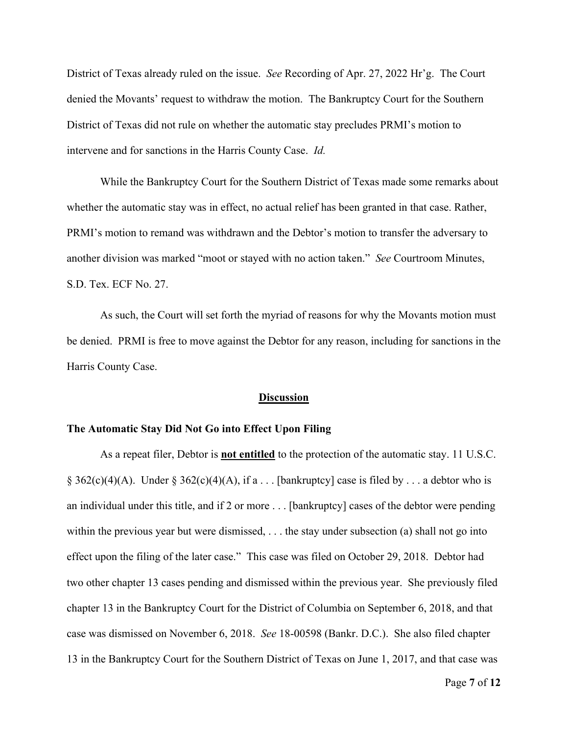District of Texas already ruled on the issue. *See* Recording of Apr. 27, 2022 Hr'g. The Court denied the Movants' request to withdraw the motion. The Bankruptcy Court for the Southern District of Texas did not rule on whether the automatic stay precludes PRMI's motion to intervene and for sanctions in the Harris County Case. *Id.*

While the Bankruptcy Court for the Southern District of Texas made some remarks about whether the automatic stay was in effect, no actual relief has been granted in that case. Rather, PRMI's motion to remand was withdrawn and the Debtor's motion to transfer the adversary to another division was marked "moot or stayed with no action taken." *See* Courtroom Minutes, S.D. Tex. ECF No. 27.

As such, the Court will set forth the myriad of reasons for why the Movants motion must be denied. PRMI is free to move against the Debtor for any reason, including for sanctions in the Harris County Case.

#### **Discussion**

## **The Automatic Stay Did Not Go into Effect Upon Filing**

As a repeat filer, Debtor is **not entitled** to the protection of the automatic stay. 11 U.S.C. § 362(c)(4)(A). Under § 362(c)(4)(A), if a . . . [bankruptcy] case is filed by . . . a debtor who is an individual under this title, and if 2 or more . . . [bankruptcy] cases of the debtor were pending within the previous year but were dismissed, . . . the stay under subsection (a) shall not go into effect upon the filing of the later case." This case was filed on October 29, 2018. Debtor had two other chapter 13 cases pending and dismissed within the previous year. She previously filed chapter 13 in the Bankruptcy Court for the District of Columbia on September 6, 2018, and that case was dismissed on November 6, 2018. *See* 18-00598 (Bankr. D.C.). She also filed chapter 13 in the Bankruptcy Court for the Southern District of Texas on June 1, 2017, and that case was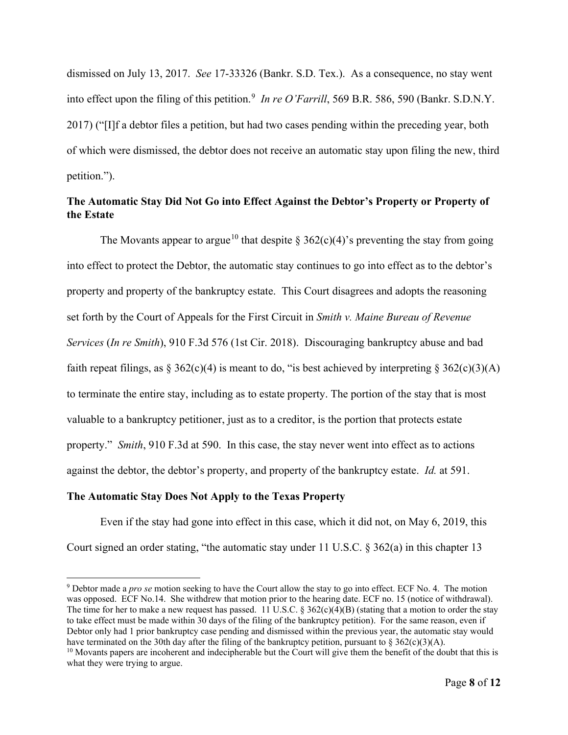dismissed on July 13, 2017. *See* 17-33326 (Bankr. S.D. Tex.). As a consequence, no stay went into effect upon the filing of this petition.<sup>[9](#page-7-0)</sup> In re O'Farrill, 569 B.R. 586, 590 (Bankr. S.D.N.Y. 2017) ("[I]f a debtor files a petition, but had two cases pending within the preceding year, both of which were dismissed, the debtor does not receive an automatic stay upon filing the new, third petition.").

# **The Automatic Stay Did Not Go into Effect Against the Debtor's Property or Property of the Estate**

The Movants appear to argue<sup>[10](#page-7-1)</sup> that despite § 362(c)(4)'s preventing the stay from going into effect to protect the Debtor, the automatic stay continues to go into effect as to the debtor's property and property of the bankruptcy estate. This Court disagrees and adopts the reasoning set forth by the Court of Appeals for the First Circuit in *Smith v. Maine Bureau of Revenue Services* (*In re Smith*), 910 F.3d 576 (1st Cir. 2018). Discouraging bankruptcy abuse and bad faith repeat filings, as  $\S 362(c)(4)$  is meant to do, "is best achieved by interpreting  $\S 362(c)(3)(A)$ to terminate the entire stay, including as to estate property. The portion of the stay that is most valuable to a bankruptcy petitioner, just as to a creditor, is the portion that protects estate property." *Smith*, 910 F.3d at 590. In this case, the stay never went into effect as to actions against the debtor, the debtor's property, and property of the bankruptcy estate. *Id.* at 591.

# **The Automatic Stay Does Not Apply to the Texas Property**

Even if the stay had gone into effect in this case, which it did not, on May 6, 2019, this Court signed an order stating, "the automatic stay under 11 U.S.C. § 362(a) in this chapter 13

<span id="page-7-0"></span><sup>9</sup> Debtor made a *pro se* motion seeking to have the Court allow the stay to go into effect. ECF No. 4. The motion was opposed. ECF No.14. She withdrew that motion prior to the hearing date. ECF no. 15 (notice of withdrawal). The time for her to make a new request has passed. 11 U.S.C. § 362(c)(4)(B) (stating that a motion to order the stay to take effect must be made within 30 days of the filing of the bankruptcy petition). For the same reason, even if Debtor only had 1 prior bankruptcy case pending and dismissed within the previous year, the automatic stay would have terminated on the 30th day after the filing of the bankruptcy petition, pursuant to  $\delta$  362(c)(3)(A).

<span id="page-7-1"></span> $10$  Movants papers are incoherent and indecipherable but the Court will give them the benefit of the doubt that this is what they were trying to argue.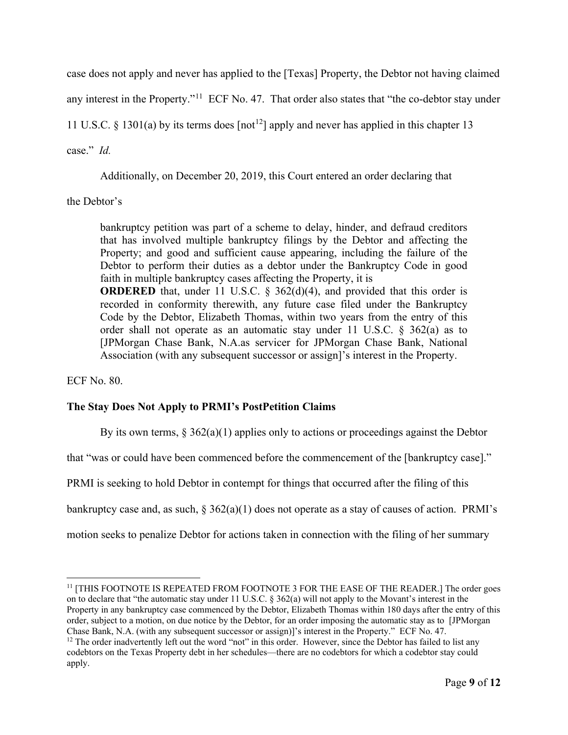case does not apply and never has applied to the [Texas] Property, the Debtor not having claimed any interest in the Property."<sup>[11](#page-8-0)</sup> ECF No. 47. That order also states that "the co-debtor stay under 11 U.S.C. § 1301(a) by its terms does  $[{\rm not}]$  apply and never has applied in this chapter 13

case." *Id.*

Additionally, on December 20, 2019, this Court entered an order declaring that

the Debtor's

bankruptcy petition was part of a scheme to delay, hinder, and defraud creditors that has involved multiple bankruptcy filings by the Debtor and affecting the Property; and good and sufficient cause appearing, including the failure of the Debtor to perform their duties as a debtor under the Bankruptcy Code in good faith in multiple bankruptcy cases affecting the Property, it is **ORDERED** that, under 11 U.S.C.  $\frac{6}{5}$  362(d)(4), and provided that this order is recorded in conformity therewith, any future case filed under the Bankruptcy Code by the Debtor, Elizabeth Thomas, within two years from the entry of this order shall not operate as an automatic stay under 11 U.S.C. § 362(a) as to [JPMorgan Chase Bank, N.A.as servicer for JPMorgan Chase Bank, National Association (with any subsequent successor or assign]'s interest in the Property.

ECF No. 80.

# **The Stay Does Not Apply to PRMI's PostPetition Claims**

By its own terms,  $\S 362(a)(1)$  applies only to actions or proceedings against the Debtor

that "was or could have been commenced before the commencement of the [bankruptcy case]."

PRMI is seeking to hold Debtor in contempt for things that occurred after the filing of this

bankruptcy case and, as such,  $\S 362(a)(1)$  does not operate as a stay of causes of action. PRMI's

motion seeks to penalize Debtor for actions taken in connection with the filing of her summary

<span id="page-8-0"></span><sup>&</sup>lt;sup>11</sup> [THIS FOOTNOTE IS REPEATED FROM FOOTNOTE 3 FOR THE EASE OF THE READER.] The order goes on to declare that "the automatic stay under 11 U.S.C. § 362(a) will not apply to the Movant's interest in the Property in any bankruptcy case commenced by the Debtor, Elizabeth Thomas within 180 days after the entry of this order, subject to a motion, on due notice by the Debtor, for an order imposing the automatic stay as to [JPMorgan Chase Bank, N.A. (with any subsequent successor or assign)]'s interest in the Property." ECF No. 47.

<span id="page-8-1"></span> $12$  The order inadvertently left out the word "not" in this order. However, since the Debtor has failed to list any codebtors on the Texas Property debt in her schedules—there are no codebtors for which a codebtor stay could apply.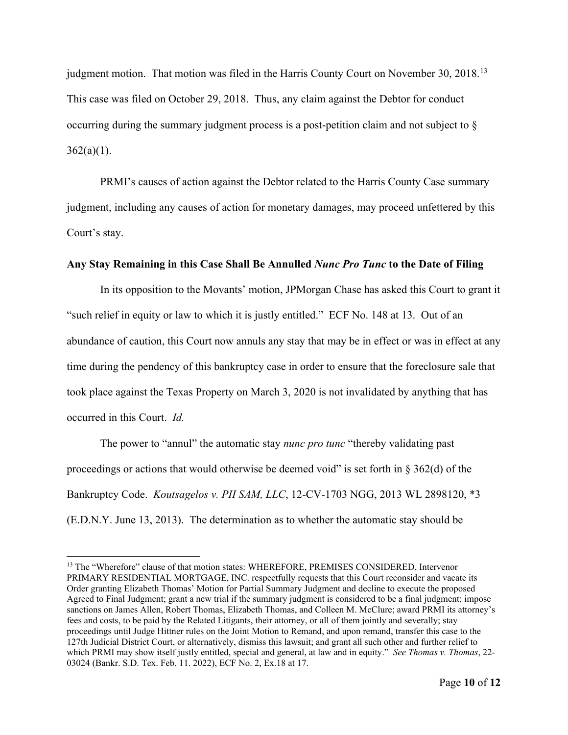judgment motion. That motion was filed in the Harris County Court on November 30, 2018.<sup>13</sup> This case was filed on October 29, 2018. Thus, any claim against the Debtor for conduct occurring during the summary judgment process is a post-petition claim and not subject to §  $362(a)(1)$ .

PRMI's causes of action against the Debtor related to the Harris County Case summary judgment, including any causes of action for monetary damages, may proceed unfettered by this Court's stay.

# **Any Stay Remaining in this Case Shall Be Annulled** *Nunc Pro Tunc* **to the Date of Filing**

In its opposition to the Movants' motion, JPMorgan Chase has asked this Court to grant it "such relief in equity or law to which it is justly entitled." ECF No. 148 at 13. Out of an abundance of caution, this Court now annuls any stay that may be in effect or was in effect at any time during the pendency of this bankruptcy case in order to ensure that the foreclosure sale that took place against the Texas Property on March 3, 2020 is not invalidated by anything that has occurred in this Court. *Id.*

The power to "annul" the automatic stay *nunc pro tunc* "thereby validating past proceedings or actions that would otherwise be deemed void" is set forth in  $\S 362(d)$  of the Bankruptcy Code. *Koutsagelos v. PII SAM, LLC*, 12-CV-1703 NGG, 2013 WL 2898120, \*3 (E.D.N.Y. June 13, 2013). The determination as to whether the automatic stay should be

<span id="page-9-0"></span><sup>&</sup>lt;sup>13</sup> The "Wherefore" clause of that motion states: WHEREFORE, PREMISES CONSIDERED, Intervenor PRIMARY RESIDENTIAL MORTGAGE, INC. respectfully requests that this Court reconsider and vacate its Order granting Elizabeth Thomas' Motion for Partial Summary Judgment and decline to execute the proposed Agreed to Final Judgment; grant a new trial if the summary judgment is considered to be a final judgment; impose sanctions on James Allen, Robert Thomas, Elizabeth Thomas, and Colleen M. McClure; award PRMI its attorney's fees and costs, to be paid by the Related Litigants, their attorney, or all of them jointly and severally; stay proceedings until Judge Hittner rules on the Joint Motion to Remand, and upon remand, transfer this case to the 127th Judicial District Court, or alternatively, dismiss this lawsuit; and grant all such other and further relief to which PRMI may show itself justly entitled, special and general, at law and in equity." *See Thomas v. Thomas*, 22- 03024 (Bankr. S.D. Tex. Feb. 11. 2022), ECF No. 2, Ex.18 at 17.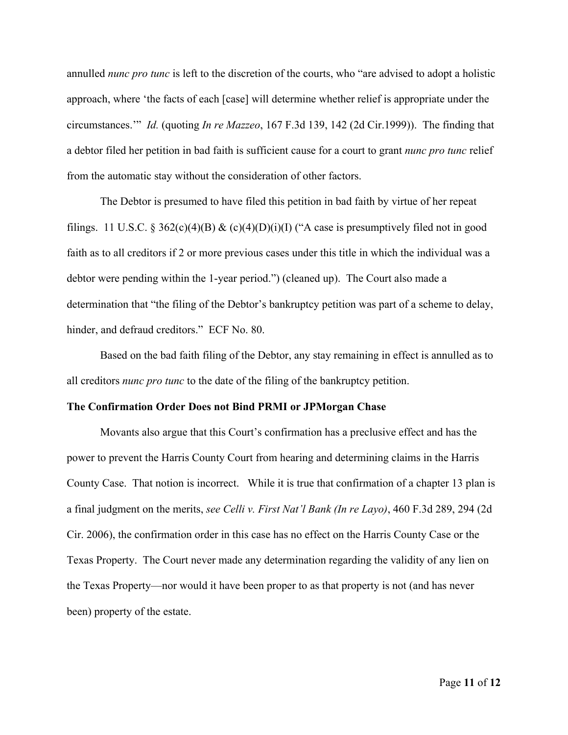annulled *nunc pro tunc* is left to the discretion of the courts, who "are advised to adopt a holistic approach, where 'the facts of each [case] will determine whether relief is appropriate under the circumstances.'" *Id.* (quoting *In re Mazzeo*, 167 F.3d 139, 142 (2d Cir.1999)). The finding that a debtor filed her petition in bad faith is sufficient cause for a court to grant *nunc pro tunc* relief from the automatic stay without the consideration of other factors.

The Debtor is presumed to have filed this petition in bad faith by virtue of her repeat filings. 11 U.S.C. § 362(c)(4)(B) & (c)(4)(D)(i)(I) ("A case is presumptively filed not in good faith as to all creditors if 2 or more previous cases under this title in which the individual was a debtor were pending within the 1-year period.") (cleaned up). The Court also made a determination that "the filing of the Debtor's bankruptcy petition was part of a scheme to delay, hinder, and defraud creditors." ECF No. 80.

Based on the bad faith filing of the Debtor, any stay remaining in effect is annulled as to all creditors *nunc pro tunc* to the date of the filing of the bankruptcy petition.

#### **The Confirmation Order Does not Bind PRMI or JPMorgan Chase**

Movants also argue that this Court's confirmation has a preclusive effect and has the power to prevent the Harris County Court from hearing and determining claims in the Harris County Case. That notion is incorrect. While it is true that confirmation of a chapter 13 plan is a final judgment on the merits, *see Celli v. First Nat'l Bank (In re Layo)*, 460 F.3d 289, 294 (2d Cir. 2006), the confirmation order in this case has no effect on the Harris County Case or the Texas Property. The Court never made any determination regarding the validity of any lien on the Texas Property—nor would it have been proper to as that property is not (and has never been) property of the estate.